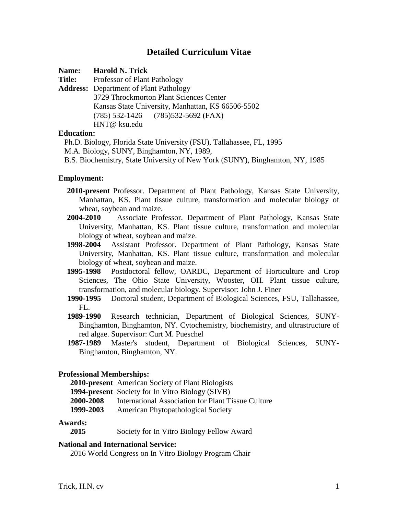# **Detailed Curriculum Vitae**

**Name: Harold N. Trick**

**Title:** Professor of Plant Pathology

**Address:** Department of Plant Pathology 3729 Throckmorton Plant Sciences Center Kansas State University, Manhattan, KS 66506-5502 (785) 532-1426 (785)532-5692 (FAX) HNT@ ksu.edu

## **Education:**

 Ph.D. Biology, Florida State University (FSU), Tallahassee, FL, 1995 M.A. Biology, SUNY, Binghamton, NY, 1989, B.S. Biochemistry, State University of New York (SUNY), Binghamton, NY, 1985

### **Employment:**

- **2010-present** Professor. Department of Plant Pathology, Kansas State University, Manhattan, KS. Plant tissue culture, transformation and molecular biology of wheat, soybean and maize.
- **2004-2010** Associate Professor. Department of Plant Pathology, Kansas State University, Manhattan, KS. Plant tissue culture, transformation and molecular biology of wheat, soybean and maize.
- **1998-2004** Assistant Professor. Department of Plant Pathology, Kansas State University, Manhattan, KS. Plant tissue culture, transformation and molecular biology of wheat, soybean and maize.
- **1995-1998** Postdoctoral fellow, OARDC, Department of Horticulture and Crop Sciences, The Ohio State University, Wooster, OH. Plant tissue culture, transformation, and molecular biology. Supervisor: John J. Finer
- **1990-1995** Doctoral student, Department of Biological Sciences, FSU, Tallahassee, FL.
- **1989-1990** Research technician, Department of Biological Sciences, SUNY-Binghamton, Binghamton, NY. Cytochemistry, biochemistry, and ultrastructure of red algae. Supervisor: Curt M. Pueschel
- **1987-1989** Master's student, Department of Biological Sciences, SUNY-Binghamton, Binghamton, NY.

### **Professional Memberships:**

**2010-present** American Society of Plant Biologists

**1994-present** Society for In Vitro Biology (SIVB)

- **2000-2008** International Association for Plant Tissue Culture
- **1999-2003** American Phytopathological Society

### **Awards:**

**2015** Society for In Vitro Biology Fellow Award

# **National and International Service:**

2016 World Congress on In Vitro Biology Program Chair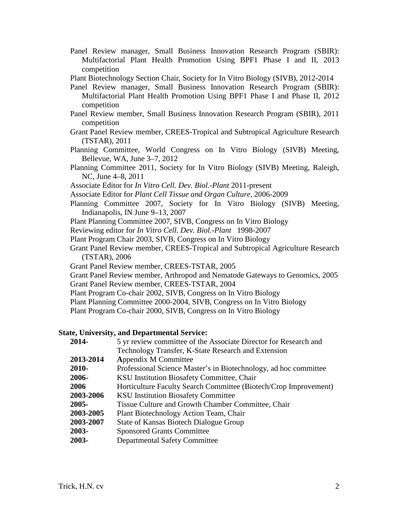- Panel Review manager, Small Business Innovation Research Program (SBIR): Multifactorial Plant Health Promotion Using BPF1 Phase I and II, 2013 competition
- Plant Biotechnology Section Chair, Society for In Vitro Biology (SIVB), 2012-2014
- Panel Review manager, Small Business Innovation Research Program (SBIR): Multifactorial Plant Health Promotion Using BPF1 Phase I and Phase II, 2012 competition
- Panel Review member, Small Business Innovation Research Program (SBIR), 2011 competition
- Grant Panel Review member, CREES-Tropical and Subtropical Agriculture Research (TSTAR), 2011
- Planning Committee, World Congress on In Vitro Biology (SIVB) Meeting, Bellevue, WA, June 3–7, 2012
- Planning Committee 2011, Society for In Vitro Biology (SIVB) Meeting, Raleigh, NC, June 4–8, 2011
- Associate Editor for *In Vitro Cell. Dev. Biol.-Plant* 2011-present
- Associate Editor for *Plant Cell Tissue and Organ Culture*, 2006-2009
- Planning Committee 2007, Society for In Vitro Biology (SIVB) Meeting, Indianapolis, IN June 9–13, 2007
- Plant Planning Committee 2007, SIVB, Congress on In Vitro Biology
- Reviewing editor for *In Vitro Cell. Dev. Biol.-Plant* 1998-2007
- Plant Program Chair 2003, SIVB, Congress on In Vitro Biology
- Grant Panel Review member, CREES-Tropical and Subtropical Agriculture Research (TSTAR), 2006
- Grant Panel Review member, CREES-TSTAR, 2005
- Grant Panel Review member, Arthropod and Nematode Gateways to Genomics, 2005 Grant Panel Review member, CREES-TSTAR, 2004
- 
- Plant Program Co-chair 2002, SIVB, Congress on In Vitro Biology
- Plant Planning Committee 2000-2004, SIVB, Congress on In Vitro Biology
- Plant Program Co-chair 2000, SIVB, Congress on In Vitro Biology

### **State, University, and Departmental Service:**

| 2014-     | 5 yr review committee of the Associate Director for Research and |
|-----------|------------------------------------------------------------------|
|           | Technology Transfer, K-State Research and Extension              |
| 2013-2014 | Appendix M Committee                                             |
| 2010-     | Professional Science Master's in Biotechnology, ad hoc committee |
| 2006-     | KSU Institution Biosafety Committee, Chair                       |
| 2006      | Horticulture Faculty Search Committee (Biotech/Crop Improvement) |
| 2003-2006 | <b>KSU Institution Biosafety Committee</b>                       |
| 2005-     | Tissue Culture and Growth Chamber Committee, Chair               |
| 2003-2005 | Plant Biotechnology Action Team, Chair                           |
| 2003-2007 | State of Kansas Biotech Dialogue Group                           |
| 2003-     | <b>Sponsored Grants Committee</b>                                |
| 2003-     | <b>Departmental Safety Committee</b>                             |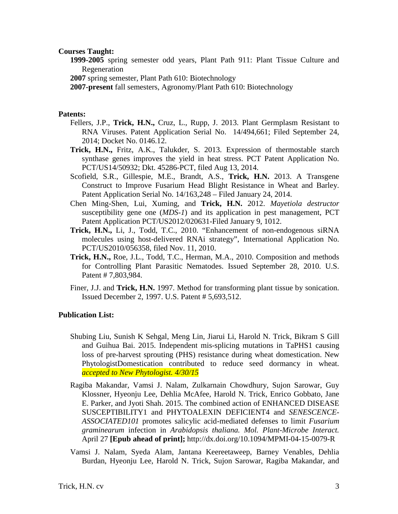### **Courses Taught:**

- **1999-2005** spring semester odd years, Plant Path 911: Plant Tissue Culture and Regeneration
- **2007** spring semester, Plant Path 610: Biotechnology
- **2007-present** fall semesters, Agronomy/Plant Path 610: Biotechnology

## **Patents:**

- Fellers, J.P., **Trick, H.N.,** Cruz, L., Rupp, J. 2013. Plant Germplasm Resistant to RNA Viruses. Patent Application Serial No. 14/494,661; Filed September 24, 2014; Docket No. 0146.12.
- **Trick, H.N.,** Fritz, A.K., Talukder, S. 2013. Expression of thermostable starch synthase genes improves the yield in heat stress. PCT Patent Application No. PCT/US14/50932; Dkt. 45286-PCT, filed Aug 13, 2014.
- Scofield, S.R., Gillespie, M.E., Brandt, A.S., **Trick, H.N.** 2013. A Transgene Construct to Improve Fusarium Head Blight Resistance in Wheat and Barley. Patent Application Serial No. 14/163,248 – Filed January 24, 2014.
- Chen Ming-Shen, Lui, Xuming, and **Trick, H.N.** 2012. *Mayetiola destructor* susceptibility gene one (*MDS-1*) and its application in pest management, PCT Patent Application PCT/US2012/020631-Filed January 9, 1012.
- **Trick, H.N.,** Li, J., Todd, T.C., 2010. "Enhancement of non-endogenous siRNA molecules using host-delivered RNAi strategy", International Application No. PCT/US2010/056358, filed Nov. 11, 2010.
- **Trick, H.N.,** Roe, J.L., Todd, T.C., Herman, M.A., 2010. Composition and methods for Controlling Plant Parasitic Nematodes. Issued September 28, 2010. U.S. Patent # 7,803,984.
- Finer, J.J. and **Trick, H.N.** 1997. Method for transforming plant tissue by sonication. Issued December 2, 1997. U.S. Patent # 5,693,512.

### **Publication List:**

- Shubing Liu, Sunish K Sehgal, Meng Lin, Jiarui Li, Harold N. Trick, Bikram S Gill and Guihua Bai. 2015. Independent mis-splicing mutations in TaPHS1 causing loss of pre-harvest sprouting (PHS) resistance during wheat domestication. New PhytologistDomestication contributed to reduce seed dormancy in wheat. *accepted to New Phytologist. 4/30/15*
- Ragiba Makandar, Vamsi J. Nalam, Zulkarnain Chowdhury, Sujon Sarowar, Guy Klossner, Hyeonju Lee, Dehlia McAfee, Harold N. Trick, Enrico Gobbato, Jane E. Parker, and Jyoti Shah. 2015. The combined action of ENHANCED DISEASE SUSCEPTIBILITY1 and PHYTOALEXIN DEFICIENT4 and *SENESCENCE-ASSOCIATED101* promotes salicylic acid-mediated defenses to limit *Fusarium graminearum* infection in *Arabidopsis thaliana. Mol. Plant-Microbe Interact.* April 27 **[Epub ahead of print];** http://dx.doi.org/10.1094/MPMI-04-15-0079-R
- Vamsi J. Nalam, Syeda Alam, Jantana Keereetaweep, Barney Venables, Dehlia Burdan, Hyeonju Lee, Harold N. Trick, Sujon Sarowar, Ragiba Makandar, and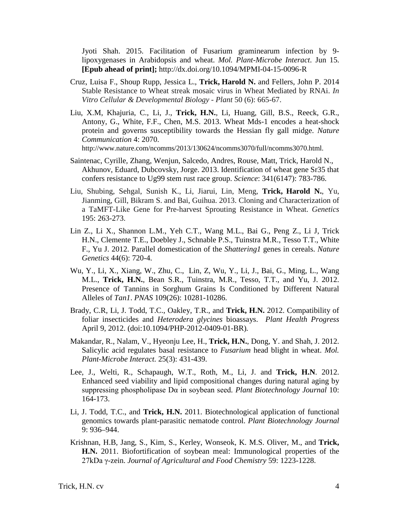Jyoti Shah. 2015. Facilitation of Fusarium graminearum infection by 9 lipoxygenases in Arabidopsis and wheat. *Mol. Plant-Microbe Interact*. Jun 15. **[Epub ahead of print];** http://dx.doi.org/10.1094/MPMI-04-15-0096-R

- Cruz, Luisa F., Shoup Rupp, Jessica L., **Trick, Harold N.** and Fellers, John P. 2014 Stable Resistance to Wheat streak mosaic virus in Wheat Mediated by RNAi. *In Vitro Cellular & Developmental Biology - Plant* 50 (6): 665-67.
- Liu, X.M, Khajuria, C., Li, J., **Trick, H.N.**, Li, Huang, Gill, B.S., Reeck, G.R., Antony, G., White, F.F., Chen, M.S. 2013. Wheat Mds-1 encodes a heat-shock protein and governs susceptibility towards the Hessian fly gall midge. *Nature Communication* 4: 2070. http://www.nature.com/ncomms/2013/130624/ncomms3070/full/ncomms3070.html.
- Saintenac, Cyrille, Zhang, Wenjun, Salcedo, Andres, Rouse, Matt, Trick, Harold N., Akhunov, Eduard, Dubcovsky, Jorge. 2013. Identification of wheat gene Sr35 that confers resistance to Ug99 stem rust race group. *Science*: 341(6147): 783-786.
- Liu, Shubing, Sehgal, Sunish K., Li, Jiarui, Lin, Meng, **Trick, Harold N.**, Yu, Jianming, Gill, Bikram S. and Bai, Guihua. 2013. Cloning and Characterization of a TaMFT-Like Gene for Pre-harvest Sprouting Resistance in Wheat. *Genetics* 195: 263-273.
- Lin Z., Li X., Shannon L.M., Yeh C.T., Wang M.L., Bai G., Peng Z., Li J, Trick H.N., Clemente T.E., Doebley J., Schnable P.S., Tuinstra M.R., Tesso T.T., White F., Yu J. 2012. Parallel domestication of the *Shattering1* genes in cereals. *Nature Genetics* 44(6): 720-4.
- Wu, Y., Li, X., Xiang, W., Zhu, C., Lin, Z, Wu, Y., Li, J., Bai, G., Ming, L., Wang M.L., **Trick, H.N.**, Bean S.R., Tuinstra, M.R., Tesso, T.T., and Yu, J. 2012. Presence of Tannins in Sorghum Grains Is Conditioned by Different Natural Alleles of *Tan1*. *PNAS* 109(26): 10281-10286.
- Brady, C.R, Li, J. Todd, T.C., Oakley, T.R., and **Trick, H.N.** 2012. Compatibility of foliar insecticides and *Heterodera glycines* bioassays. *Plant Health Progress* April 9, 2012. (doi:10.1094/PHP-2012-0409-01-BR)*.*
- Makandar, R., Nalam, V., Hyeonju Lee, H., **Trick, H.N.**, Dong, Y. and Shah, J. 2012. Salicylic acid regulates basal resistance to *Fusarium* head blight in wheat. *Mol. Plant-Microbe Interact.* 25(3): 431-439.
- Lee, J., Welti, R., Schapaugh, W.T., Roth, M., Li, J. and **Trick, H.N**. 2012. Enhanced seed viability and lipid compositional changes during natural aging by suppressing phospholipase Dα in soybean seed. *Plant Biotechnology Journal* 10: 164-173.
- Li, J. Todd, T.C., and **Trick, H.N.** 2011. Biotechnological application of functional genomics towards plant-parasitic nematode control. *Plant Biotechnology Journal*  9: 936–944.
- Krishnan, H.B, Jang, S., Kim, S., Kerley, Wonseok, K. M.S. Oliver, M., and **Trick, H.N.** 2011. Biofortification of soybean meal: Immunological properties of the 27kDa γ-zein. *Journal of Agricultural and Food Chemistry* 59: 1223-1228.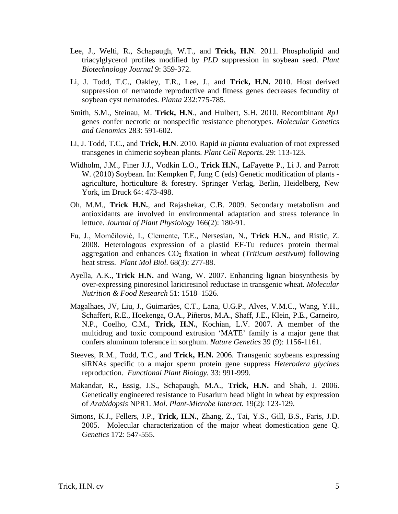- Lee, J., Welti, R., Schapaugh, W.T., and **Trick, H.N**. 2011. Phospholipid and triacylglycerol profiles modified by *PLD* suppression in soybean seed. *Plant Biotechnology Journal* 9: 359-372.
- Li, J. Todd, T.C., Oakley, T.R., Lee, J., and **Trick, H.N.** 2010. Host derived suppression of nematode reproductive and fitness genes decreases fecundity of soybean cyst nematodes. *Planta* 232:775-785.
- Smith, S.M., Steinau, M. **Trick, H.N**., and Hulbert, S.H. 2010. Recombinant *Rp1* genes confer necrotic or nonspecific resistance phenotypes. *Molecular Genetics and Genomics* 283: 591-602.
- Li, J. Todd, T.C., and **Trick, H.N**. 2010. Rapid *in planta* evaluation of root expressed transgenes in chimeric soybean plants. *Plant Cell Reports*. 29: 113-123.
- Widholm, J.M., Finer J.J., Vodkin L.O., **Trick H.N.**, LaFayette P., Li J. and Parrott W. (2010) Soybean. In: Kempken F, Jung C (eds) Genetic modification of plants agriculture, horticulture & forestry. Springer Verlag, Berlin, Heidelberg, New York, im Druck 64: 473-498.
- Oh, M.M., **Trick H.N.**, and Rajashekar, C.B. 2009. Secondary metabolism and antioxidants are involved in environmental adaptation and stress tolerance in lettuce. *Journal of Plant Physiology* 166(2): 180-91.
- Fu, J., Momčilović, I., Clemente, T.E., Nersesian, N., **Trick H.N.**, and Ristic, Z. 2008. Heterologous expression of a plastid EF-Tu reduces protein thermal aggregation and enhances CO2 fixation in wheat (*Triticum aestivum*) following heat stress. *Plant Mol Biol.* 68(3): 277-88.
- Ayella, A.K., **Trick H.N.** and Wang, W. 2007. Enhancing lignan biosynthesis by over-expressing pinoresinol lariciresinol reductase in transgenic wheat. *Molecular Nutrition & Food Research* 51: 1518–1526.
- Magalhaes, JV, Liu, J., Guimarães, C.T., Lana, U.G.P., Alves, V.M.C., Wang, Y.H., Schaffert, R.E., Hoekenga, O.A., Piñeros, M.A., Shaff, J.E., Klein, P.E., Carneiro, N.P., Coelho, C.M., **Trick, H.N.**, Kochian, L.V. 2007. A member of the multidrug and toxic compound extrusion 'MATE' family is a major gene that confers aluminum tolerance in sorghum. *Nature Genetics* 39 (9): 1156-1161.
- Steeves, R.M., Todd, T.C., and **Trick, H.N.** 2006. Transgenic soybeans expressing siRNAs specific to a major sperm protein gene suppress *Heterodera glycines* reproduction. *Functional Plant Biology.* 33: 991-999.
- Makandar, R., Essig, J.S., Schapaugh, M.A., **Trick, H.N.** and Shah, J. 2006. Genetically engineered resistance to Fusarium head blight in wheat by expression of *Arabidopsis* NPR1. *Mol. Plant-Microbe Interact.* 19(2): 123-129.
- Simons, K.J., Fellers, J.P., **Trick, H.N.**, Zhang, Z., Tai, Y.S., Gill, B.S., Faris, J.D. 2005. Molecular characterization of the major wheat domestication gene Q. *Genetics* 172: 547-555.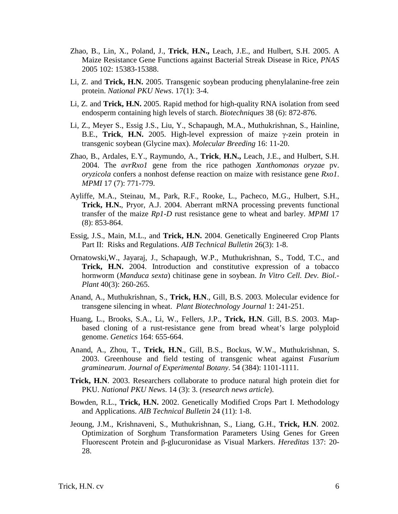- Zhao, B., Lin, X., Poland, J., **Trick**, **H.N.,** Leach, J.E., and Hulbert, S.H. 2005. A Maize Resistance Gene Functions against Bacterial Streak Disease in Rice, *PNAS* 2005 102: 15383-15388.
- Li, Z. and **Trick, H.N.** 2005. Transgenic soybean producing phenylalanine-free zein protein. *National PKU News*. 17(1): 3-4.
- Li, Z. and **Trick, H.N.** 2005. Rapid method for high-quality RNA isolation from seed endosperm containing high levels of starch. *Biotechniques* 38 (6): 872-876.
- Li, Z., Meyer S., Essig J.S., Liu, Y., Schapaugh, M.A., Muthukrishnan, S., Hainline, B.E., **Trick**, **H.N.** 2005. High-level expression of maize γ-zein protein in transgenic soybean (Glycine max). *Molecular Breeding* 16: 11-20.
- Zhao, B., Ardales, E.Y., Raymundo, A., **Trick**, **H.N.,** Leach, J.E., and Hulbert, S.H. 2004. The *avrRxo1* gene from the rice pathogen *Xanthomonas oryzae* pv. *oryzicola* confers a nonhost defense reaction on maize with resistance gene *Rxo1*. *MPMI* 17 (7): 771-779.
- Ayliffe, M.A., Steinau, M., Park, R.F., Rooke, L., Pacheco, M.G., Hulbert, S.H., **Trick, H.N.**, Pryor, A.J. 2004. Aberrant mRNA processing prevents functional transfer of the maize *Rp1-D* rust resistance gene to wheat and barley. *MPMI* 17 (8): 853-864.
- Essig, J.S., Main, M.L., and **Trick, H.N.** 2004. Genetically Engineered Crop Plants Part II: Risks and Regulations. *AIB Technical Bulletin* 26(3): 1-8.
- Ornatowski,W., Jayaraj, J., Schapaugh, W.P., Muthukrishnan, S., Todd, T.C., and **Trick, H.N.** 2004. Introduction and constitutive expression of a tobacco hornworm (*Manduca sexta*) chitinase gene in soybean. *In Vitro Cell. Dev. Biol.- Plant* 40(3): 260-265.
- Anand, A., Muthukrishnan, S., **Trick, H.N**., Gill, B.S. 2003. Molecular evidence for transgene silencing in wheat. *Plant Biotechnology Journal* 1: 241-251.
- Huang, L., Brooks, S.A., Li, W., Fellers, J.P., **Trick, H.N**. Gill, B.S. 2003. Mapbased cloning of a rust-resistance gene from bread wheat's large polyploid genome. *Genetics* 164: 655-664.
- Anand, A., Zhou, T., **Trick, H.N**., Gill, B.S., Bockus, W.W., Muthukrishnan, S. 2003. Greenhouse and field testing of transgenic wheat against *Fusarium graminearum*. *Journal of Experimental Botany*. 54 (384): 1101-1111.
- **Trick, H.N**. 2003. Researchers collaborate to produce natural high protein diet for PKU. *National PKU News*. 14 (3): 3. (*research news article*).
- Bowden, R.L., **Trick, H.N.** 2002. Genetically Modified Crops Part I. Methodology and Applications. *AIB Technical Bulletin* 24 (11): 1-8.
- Jeoung, J.M., Krishnaveni, S., Muthukrishnan, S., Liang, G.H., **Trick, H.N**. 2002. Optimization of Sorghum Transformation Parameters Using Genes for Green Fluorescent Protein and β-glucuronidase as Visual Markers. *Hereditas* 137: 20- 28.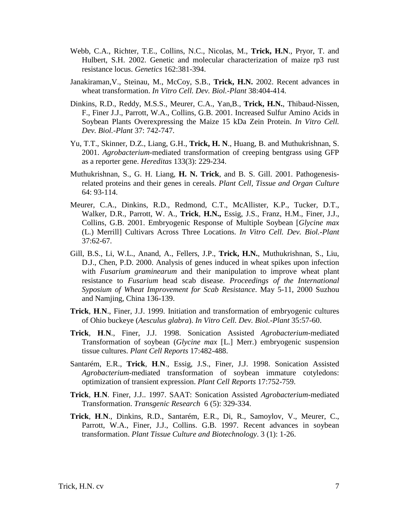- Webb, C.A., Richter, T.E., Collins, N.C., Nicolas, M., **Trick, H.N**., Pryor, T. and Hulbert, S.H. 2002. Genetic and molecular characterization of maize rp3 rust resistance locus. *Genetics* 162:381-394.
- Janakiraman,V., Steinau, M., McCoy, S.B., **Trick, H.N.** 2002. Recent advances in wheat transformation. *In Vitro Cell. Dev. Biol.-Plant* 38:404-414.
- Dinkins, R.D., Reddy, M.S.S., Meurer, C.A., Yan,B., **Trick, H.N.**, Thibaud-Nissen, F., Finer J.J., Parrott, W.A., Collins, G.B. 2001. Increased Sulfur Amino Acids in Soybean Plants Overexpressing the Maize 15 kDa Zein Protein. *In Vitro Cell. Dev. Biol.-Plant* 37: 742-747.
- Yu, T.T., Skinner, D.Z., Liang, G.H., **Trick, H. N**., Huang, B. and Muthukrishnan, S. 2001. *Agrobacterium*-mediated transformation of creeping bentgrass using GFP as a reporter gene. *Hereditas* 133(3): 229-234.
- Muthukrishnan, S., G. H. Liang, **H. N. Trick**, and B. S. Gill. 2001. Pathogenesisrelated proteins and their genes in cereals. *Plant Cell, Tissue and Organ Culture* 64: 93-114.
- Meurer, C.A., Dinkins, R.D., Redmond, C.T., McAllister, K.P., Tucker, D.T., Walker, D.R., Parrott, W. A., **Trick**, **H.N.,** Essig, J.S., Franz, H.M., Finer, J.J., Collins, G.B. 2001. Embryogenic Response of Multiple Soybean [*Glycine max* (L.) Merrill] Cultivars Across Three Locations. *In Vitro Cell. Dev. Biol.-Plant* 37:62-67.
- Gill, B.S., Li, W.L., Anand, A., Fellers, J.P., **Trick, H.N.**, Muthukrishnan, S., Liu, D.J., Chen, P.D. 2000. Analysis of genes induced in wheat spikes upon infection with *Fusarium graminearum* and their manipulation to improve wheat plant resistance to *Fusarium* head scab disease. *Proceedings of the International Syposium of Wheat Improvement for Scab Resistance*. May 5-11, 2000 Suzhou and Namjing, China 136-139.
- **Trick**, **H**.**N**., Finer, J.J. 1999. Initiation and transformation of embryogenic cultures of Ohio buckeye (*Aesculus glabra*). *In Vitro Cell. Dev. Biol.-Plant* 35:57-60.
- **Trick**, **H**.**N**., Finer, J.J. 1998. Sonication Assisted *Agrobacterium*-mediated Transformation of soybean (*Glycine max* [L.] Merr.) embryogenic suspension tissue cultures. *Plant Cell Reports* 17:482-488.
- Santarém, E.R., **Trick**, **H**.**N**., Essig, J.S., Finer, J.J. 1998. Sonication Assisted *Agrobacterium*-mediated transformation of soybean immature cotyledons: optimization of transient expression. *Plant Cell Reports* 17:752-759.
- **Trick**, **H**.**N**. Finer, J.J.. 1997. SAAT: Sonication Assisted *Agrobacterium*-mediated Transformation. *Transgenic Research* 6 (5): 329-334.
- **Trick**, **H**.**N**., Dinkins, R.D., Santarém, E.R., Di, R., Samoylov, V., Meurer, C., Parrott, W.A., Finer, J.J., Collins. G.B. 1997. Recent advances in soybean transformation. *Plant Tissue Culture and Biotechnology*. 3 (1): 1-26.